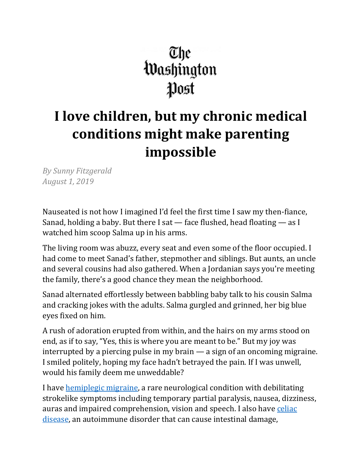## The<br>Washington Post

## **I love children, but my chronic medical conditions might make parenting impossible**

*By Sunny Fitzgerald August 1, 2019*

Nauseated is not how I imagined I'd feel the first time I saw my then-fiance, Sanad, holding a baby. But there I sat — face flushed, head floating — as I watched him scoop Salma up in his arms.

The living room was abuzz, every seat and even some of the floor occupied. I had come to meet Sanad's father, stepmother and siblings. But aunts, an uncle and several cousins had also gathered. When a Jordanian says you're meeting the family, there's a good chance they mean the neighborhood.

Sanad alternated effortlessly between babbling baby talk to his cousin Salma and cracking jokes with the adults. Salma gurgled and grinned, her big blue eyes fixed on him.

A rush of adoration erupted from within, and the hairs on my arms stood on end, as if to say, "Yes, this is where you are meant to be." But my joy was interrupted by a piercing pulse in my brain — a sign of an oncoming migraine. I smiled politely, hoping my face hadn't betrayed the pain. If I was unwell, would his family deem me unweddable?

I have [hemiplegic migraine,](https://americanmigrainefoundation.org/resource-library/hemiplegic-migraine/) a rare neurological condition with debilitating strokelike symptoms including temporary partial paralysis, nausea, dizziness, auras and impaired comprehension, vision and speech. I also have celiac [disease,](https://celiac.org/about-celiac-disease/what-is-celiac-disease/) an autoimmune disorder that can cause intestinal damage,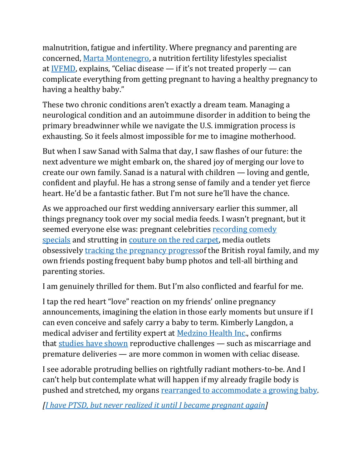malnutrition, fatigue and infertility. Where pregnancy and parenting are concerned, [Marta Montenegro,](https://www.ivfmd.com/about-us/providers/marta-montenegro/) a nutrition fertility lifestyles specialist at [IVFMD](https://www.ivfmd.com/), explains, "Celiac disease — if it's not treated properly — can complicate everything from getting pregnant to having a healthy pregnancy to having a healthy baby."

These two chronic conditions aren't exactly a dream team. Managing a neurological condition and an autoimmune disorder in addition to being the primary breadwinner while we navigate the U.S. immigration process is exhausting. So it feels almost impossible for me to imagine motherhood.

But when I saw Sanad with Salma that day, I saw flashes of our future: the next adventure we might embark on, the shared joy of merging our love to create our own family. Sanad is a natural with children — loving and gentle, confident and playful. He has a strong sense of family and a tender yet fierce heart. He'd be a fantastic father. But I'm not sure he'll have the chance.

As we approached our first wedding anniversary earlier this summer, all things pregnancy took over my social media feeds. I wasn't pregnant, but it seemed everyone else was: pregnant celebrities recording comedy [specials](https://www.goodhousekeeping.com/life/entertainment/a26948526/amy-schumer-growing-netflix/) and strutting in [couture on the red carpet,](https://www.usmagazine.com/celebrity-moms/pictures/pregnant-oscar-stars-2011232/) media outlets obsessively [tracking the pregnancy progresso](https://www.cosmopolitan.com/uk/reports/g24112951/meghan-markle-baby-bump-pregnancy/)f the British royal family, and my own friends posting frequent baby bump photos and tell-all birthing and parenting stories.

I am genuinely thrilled for them. But I'm also conflicted and fearful for me.

I tap the red heart "love" reaction on my friends' online pregnancy announcements, imagining the elation in those early moments but unsure if I can even conceive and safely carry a baby to term. Kimberly Langdon, a medical adviser and fertility expert at [Medzino Health Inc.](https://www.medzino.com/us/), confirms that [studies have shown](https://www.ncbi.nlm.nih.gov/pmc/articles/PMC4367213/) reproductive challenges — such as miscarriage and premature deliveries — are more common in women with celiac disease.

I see adorable protruding bellies on rightfully radiant mothers-to-be. And I can't help but contemplate what will happen if my already fragile body is pushed and stretched, my organs [rearranged to accommodate a growing baby.](https://www.whattoexpect.com/wom/pregnancy/this-is-how-your-organs-move-to-make-room-for-baby-every-week-of-pregnancy)

*[\[I have PTSD, but never realized it until I became pregnant again\]](https://www.washingtonpost.com/lifestyle/2019/05/06/i-have-ptsd-never-realized-it-until-i-became-pregnant-again/?utm_term=.60061e08e4f5)*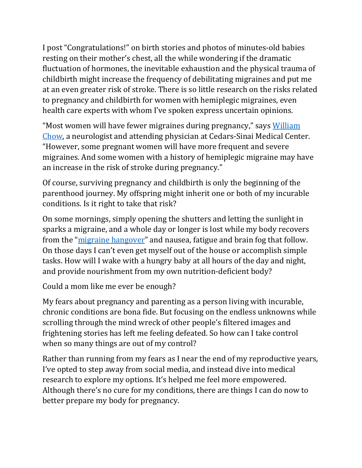I post "Congratulations!" on birth stories and photos of minutes-old babies resting on their mother's chest, all the while wondering if the dramatic fluctuation of hormones, the inevitable exhaustion and the physical trauma of childbirth might increase the frequency of debilitating migraines and put me at an even greater risk of stroke. There is so little research on the risks related to pregnancy and childbirth for women with hemiplegic migraines, even health care experts with whom I've spoken express uncertain opinions.

"Most women will have fewer migraines during pregnancy," says William [Chow,](https://www.williamchowneurology.com/about) a neurologist and attending physician at Cedars-Sinai Medical Center. "However, some pregnant women will have more frequent and severe migraines. And some women with a history of hemiplegic migraine may have an increase in the risk of stroke during pregnancy."

Of course, surviving pregnancy and childbirth is only the beginning of the parenthood journey. My offspring might inherit one or both of my incurable conditions. Is it right to take that risk?

On some mornings, simply opening the shutters and letting the sunlight in sparks a migraine, and a whole day or longer is lost while my body recovers from the "[migraine hangover](https://americanmigrainefoundation.org/resource-library/understanding-migrainethe-science-of-migraine-how-to-deal-with-postdrome/)" and nausea, fatigue and brain fog that follow. On those days I can't even get myself out of the house or accomplish simple tasks. How will I wake with a hungry baby at all hours of the day and night, and provide nourishment from my own nutrition-deficient body?

Could a mom like me ever be enough?

My fears about pregnancy and parenting as a person living with incurable, chronic conditions are bona fide. But focusing on the endless unknowns while scrolling through the mind wreck of other people's filtered images and frightening stories has left me feeling defeated. So how can I take control when so many things are out of my control?

Rather than running from my fears as I near the end of my reproductive years, I've opted to step away from social media, and instead dive into medical research to explore my options. It's helped me feel more empowered. Although there's no cure for my conditions, there are things I can do now to better prepare my body for pregnancy.